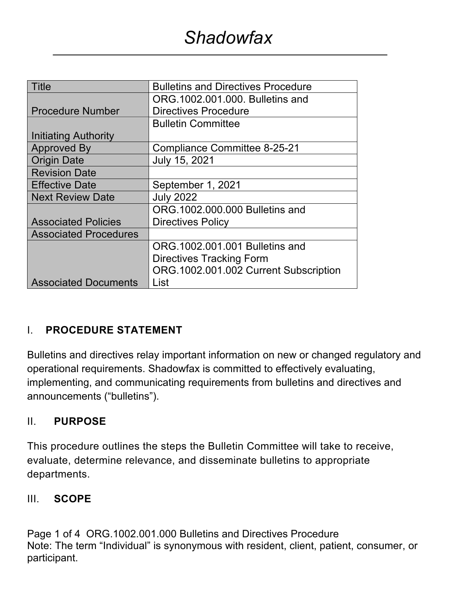| Title                        | <b>Bulletins and Directives Procedure</b> |  |  |
|------------------------------|-------------------------------------------|--|--|
|                              | ORG.1002.001.000. Bulletins and           |  |  |
| <b>Procedure Number</b>      | <b>Directives Procedure</b>               |  |  |
|                              | <b>Bulletin Committee</b>                 |  |  |
| <b>Initiating Authority</b>  |                                           |  |  |
| <b>Approved By</b>           | Compliance Committee 8-25-21              |  |  |
| <b>Origin Date</b>           | July 15, 2021                             |  |  |
| <b>Revision Date</b>         |                                           |  |  |
| <b>Effective Date</b>        | September 1, 2021                         |  |  |
| <b>Next Review Date</b>      | <b>July 2022</b>                          |  |  |
|                              | ORG.1002.000.000 Bulletins and            |  |  |
| <b>Associated Policies</b>   | <b>Directives Policy</b>                  |  |  |
| <b>Associated Procedures</b> |                                           |  |  |
|                              | ORG.1002.001.001 Bulletins and            |  |  |
|                              | <b>Directives Tracking Form</b>           |  |  |
|                              | ORG.1002.001.002 Current Subscription     |  |  |
| <b>Associated Documents</b>  | List                                      |  |  |

#### I. **PROCEDURE STATEMENT**

Bulletins and directives relay important information on new or changed regulatory and operational requirements. Shadowfax is committed to effectively evaluating, implementing, and communicating requirements from bulletins and directives and announcements ("bulletins").

#### II. **PURPOSE**

This procedure outlines the steps the Bulletin Committee will take to receive, evaluate, determine relevance, and disseminate bulletins to appropriate departments.

#### III. **SCOPE**

Page 1 of 4 ORG.1002.001.000 Bulletins and Directives Procedure Note: The term "Individual" is synonymous with resident, client, patient, consumer, or participant.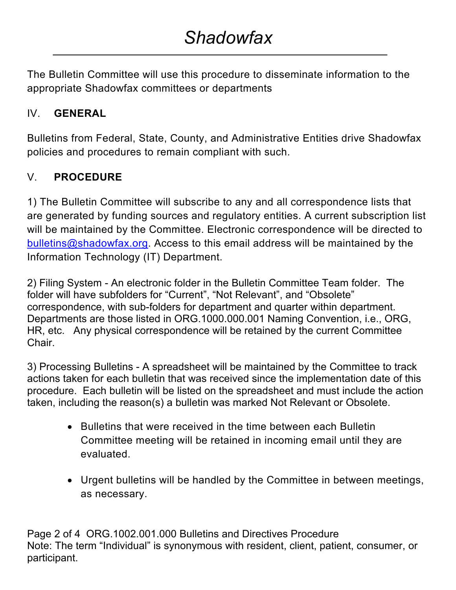The Bulletin Committee will use this procedure to disseminate information to the appropriate Shadowfax committees or departments

### IV. **GENERAL**

Bulletins from Federal, State, County, and Administrative Entities drive Shadowfax policies and procedures to remain compliant with such.

### V. **PROCEDURE**

1) The Bulletin Committee will subscribe to any and all correspondence lists that are generated by funding sources and regulatory entities. A current subscription list will be maintained by the Committee. Electronic correspondence will be directed to bulletins@shadowfax.org. Access to this email address will be maintained by the Information Technology (IT) Department.

2) Filing System - An electronic folder in the Bulletin Committee Team folder. The folder will have subfolders for "Current", "Not Relevant", and "Obsolete" correspondence, with sub-folders for department and quarter within department. Departments are those listed in ORG.1000.000.001 Naming Convention, i.e., ORG, HR, etc. Any physical correspondence will be retained by the current Committee Chair.

3) Processing Bulletins - A spreadsheet will be maintained by the Committee to track actions taken for each bulletin that was received since the implementation date of this procedure. Each bulletin will be listed on the spreadsheet and must include the action taken, including the reason(s) a bulletin was marked Not Relevant or Obsolete.

- Bulletins that were received in the time between each Bulletin Committee meeting will be retained in incoming email until they are evaluated.
- Urgent bulletins will be handled by the Committee in between meetings, as necessary.

Page 2 of 4 ORG.1002.001.000 Bulletins and Directives Procedure Note: The term "Individual" is synonymous with resident, client, patient, consumer, or participant.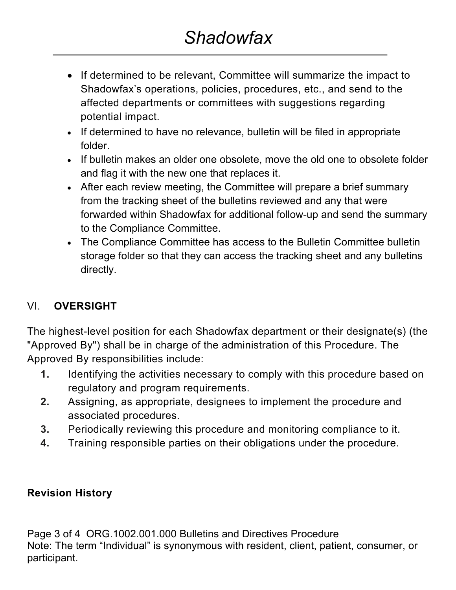- If determined to be relevant, Committee will summarize the impact to Shadowfax's operations, policies, procedures, etc., and send to the affected departments or committees with suggestions regarding potential impact.
- If determined to have no relevance, bulletin will be filed in appropriate folder.
- If bulletin makes an older one obsolete, move the old one to obsolete folder and flag it with the new one that replaces it.
- After each review meeting, the Committee will prepare a brief summary from the tracking sheet of the bulletins reviewed and any that were forwarded within Shadowfax for additional follow-up and send the summary to the Compliance Committee.
- The Compliance Committee has access to the Bulletin Committee bulletin storage folder so that they can access the tracking sheet and any bulletins directly.

## VI. **OVERSIGHT**

The highest-level position for each Shadowfax department or their designate(s) (the "Approved By") shall be in charge of the administration of this Procedure. The Approved By responsibilities include:

- **1.** Identifying the activities necessary to comply with this procedure based on regulatory and program requirements.
- **2.** Assigning, as appropriate, designees to implement the procedure and associated procedures.
- **3.** Periodically reviewing this procedure and monitoring compliance to it.
- **4.** Training responsible parties on their obligations under the procedure.

#### **Revision History**

Page 3 of 4 ORG.1002.001.000 Bulletins and Directives Procedure Note: The term "Individual" is synonymous with resident, client, patient, consumer, or participant.